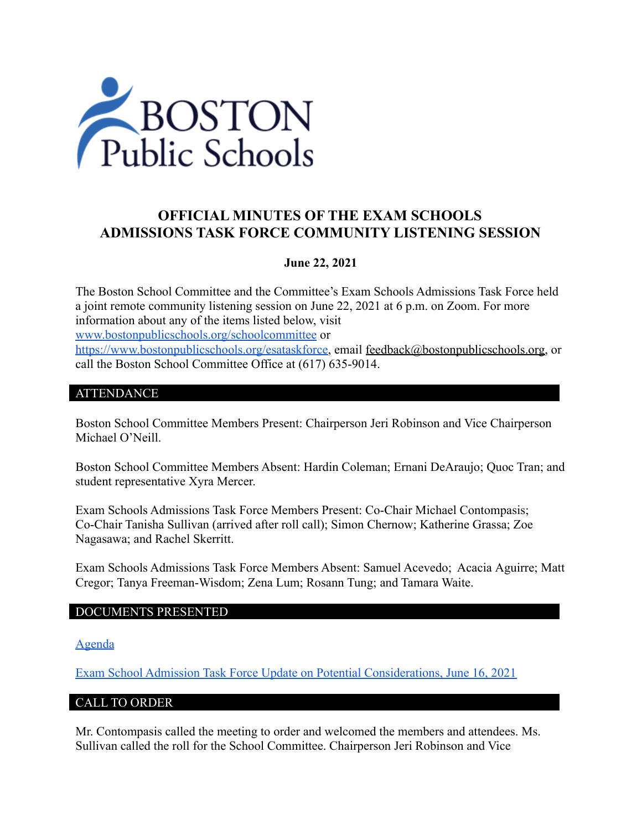

# **OFFICIAL MINUTES OF THE EXAM SCHOOLS ADMISSIONS TASK FORCE COMMUNITY LISTENING SESSION**

## **June 22, 2021**

The Boston School Committee and the Committee's Exam Schools Admissions Task Force held a joint remote community listening session on June 22, 2021 at 6 p.m. on Zoom. For more information about any of the items listed below, visit [www.bostonpublicschools.org/schoolcommittee](https://www.bostonpublicschools.org/domain/162) or [https://www.bostonpublicschools.org/esataskforce,](https://www.bostonpublicschools.org/esataskforce) email [feedback@bostonpublicschools.org,](mailto:feedback@bostonpublicschools.org) or call the Boston School Committee Office at (617) 635-9014.

## ATTENDANCE

Boston School Committee Members Present: Chairperson Jeri Robinson and Vice Chairperson Michael O'Neill.

Boston School Committee Members Absent: Hardin Coleman; Ernani DeAraujo; Quoc Tran; and student representative Xyra Mercer.

Exam Schools Admissions Task Force Members Present: Co-Chair Michael Contompasis; Co-Chair Tanisha Sullivan (arrived after roll call); Simon Chernow; Katherine Grassa; Zoe Nagasawa; and Rachel Skerritt.

Exam Schools Admissions Task Force Members Absent: Samuel Acevedo; Acacia Aguirre; Matt Cregor; Tanya Freeman-Wisdom; Zena Lum; Rosann Tung; and Tamara Waite.

### DOCUMENTS PRESENTED

[Agenda](https://www.boston.gov/public-notices/15756251)

[Exam School Admission Task Force Update on Potential Considerations, June 16, 2021](https://www.bostonpublicschools.org/cms/lib/MA01906464/Centricity/Domain/162/Exam%20Schools%20Task%20Force%20Presentation%20to%20School%20Committee%20Final%202.pdf)

### CALL TO ORDER

Mr. Contompasis called the meeting to order and welcomed the members and attendees. Ms. Sullivan called the roll for the School Committee. Chairperson Jeri Robinson and Vice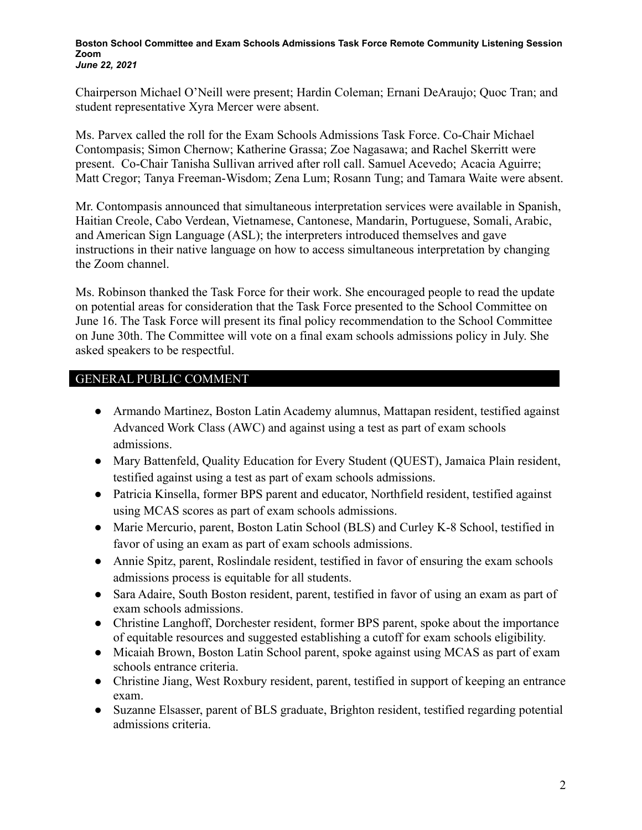#### **Boston School Committee and Exam Schools Admissions Task Force Remote Community Listening Session Zoom** *June 22, 2021*

Chairperson Michael O'Neill were present; Hardin Coleman; Ernani DeAraujo; Quoc Tran; and student representative Xyra Mercer were absent.

Ms. Parvex called the roll for the Exam Schools Admissions Task Force. Co-Chair Michael Contompasis; Simon Chernow; Katherine Grassa; Zoe Nagasawa; and Rachel Skerritt were present. Co-Chair Tanisha Sullivan arrived after roll call. Samuel Acevedo; Acacia Aguirre; Matt Cregor; Tanya Freeman-Wisdom; Zena Lum; Rosann Tung; and Tamara Waite were absent.

Mr. Contompasis announced that simultaneous interpretation services were available in Spanish, Haitian Creole, Cabo Verdean, Vietnamese, Cantonese, Mandarin, Portuguese, Somali, Arabic, and American Sign Language (ASL); the interpreters introduced themselves and gave instructions in their native language on how to access simultaneous interpretation by changing the Zoom channel.

Ms. Robinson thanked the Task Force for their work. She encouraged people to read the update on potential areas for consideration that the Task Force presented to the School Committee on June 16. The Task Force will present its final policy recommendation to the School Committee on June 30th. The Committee will vote on a final exam schools admissions policy in July. She asked speakers to be respectful.

## GENERAL PUBLIC COMMENT

- Armando Martinez, Boston Latin Academy alumnus, Mattapan resident, testified against Advanced Work Class (AWC) and against using a test as part of exam schools admissions.
- Mary Battenfeld, Quality Education for Every Student (QUEST), Jamaica Plain resident, testified against using a test as part of exam schools admissions.
- Patricia Kinsella, former BPS parent and educator, Northfield resident, testified against using MCAS scores as part of exam schools admissions.
- Marie Mercurio, parent, Boston Latin School (BLS) and Curley K-8 School, testified in favor of using an exam as part of exam schools admissions.
- Annie Spitz, parent, Roslindale resident, testified in favor of ensuring the exam schools admissions process is equitable for all students.
- Sara Adaire, South Boston resident, parent, testified in favor of using an exam as part of exam schools admissions.
- Christine Langhoff, Dorchester resident, former BPS parent, spoke about the importance of equitable resources and suggested establishing a cutoff for exam schools eligibility.
- Micaiah Brown, Boston Latin School parent, spoke against using MCAS as part of exam schools entrance criteria.
- Christine Jiang, West Roxbury resident, parent, testified in support of keeping an entrance exam.
- Suzanne Elsasser, parent of BLS graduate, Brighton resident, testified regarding potential admissions criteria.